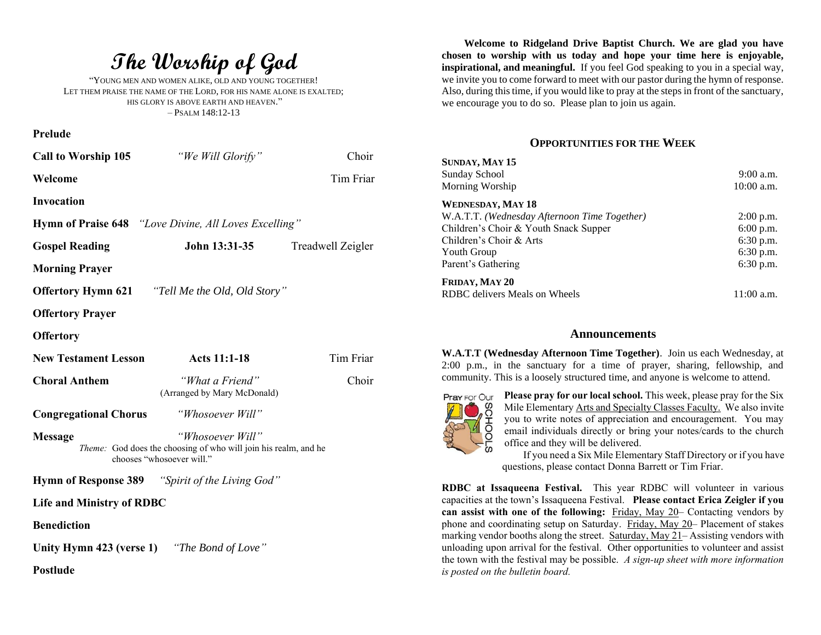**The Worship of God**

"YOUNG MEN AND WOMEN ALIKE, OLD AND YOUNG TOGETHER! LET THEM PRAISE THE NAME OF THE LORD, FOR HIS NAME ALONE IS EXALTED; HIS GLORY IS ABOVE EARTH AND HEAVEN." – PSALM 148:12-13

**Prelude**

| <b>Call to Worship 105</b>                                                                                                         | "We Will Glorify"                                      | Choir             |  |
|------------------------------------------------------------------------------------------------------------------------------------|--------------------------------------------------------|-------------------|--|
| Welcome                                                                                                                            |                                                        | Tim Friar         |  |
| <b>Invocation</b>                                                                                                                  |                                                        |                   |  |
| <b>Hymn of Praise 648</b> "Love Divine, All Loves Excelling"                                                                       |                                                        |                   |  |
| <b>Gospel Reading</b>                                                                                                              | John 13:31-35                                          | Treadwell Zeigler |  |
| <b>Morning Prayer</b>                                                                                                              |                                                        |                   |  |
| "Tell Me the Old, Old Story"<br><b>Offertory Hymn 621</b>                                                                          |                                                        |                   |  |
| <b>Offertory Prayer</b>                                                                                                            |                                                        |                   |  |
| <b>Offertory</b>                                                                                                                   |                                                        |                   |  |
| <b>New Testament Lesson</b>                                                                                                        | <b>Acts 11:1-18</b>                                    | Tim Friar         |  |
| <b>Choral Anthem</b>                                                                                                               | "What a Friend"<br>(Arranged by Mary McDonald)         | Choir             |  |
| <b>Congregational Chorus</b>                                                                                                       | "Whosoever Will"                                       |                   |  |
| "Whosoever Will"<br><b>Message</b><br>Theme: God does the choosing of who will join his realm, and he<br>chooses "whosoever will." |                                                        |                   |  |
|                                                                                                                                    | <b>Hymn of Response 389</b> "Spirit of the Living God" |                   |  |
| <b>Life and Ministry of RDBC</b>                                                                                                   |                                                        |                   |  |
| <b>Benediction</b>                                                                                                                 |                                                        |                   |  |
| Unity Hymn 423 (verse 1) "The Bond of Love"                                                                                        |                                                        |                   |  |

**Postlude**

**Welcome to Ridgeland Drive Baptist Church. We are glad you have chosen to worship with us today and hope your time here is enjoyable, inspirational, and meaningful.** If you feel God speaking to you in a special way, we invite you to come forward to meet with our pastor during the hymn of response. Also, during this time, if you would like to pray at the steps in front of the sanctuary, we encourage you to do so. Please plan to join us again.

# **OPPORTUNITIES FOR THE WEEK**

| SUNDAY, MAY 15                               |              |
|----------------------------------------------|--------------|
| Sunday School                                | $9:00$ a.m.  |
| Morning Worship                              | $10:00$ a.m. |
| <b>WEDNESDAY, MAY 18</b>                     |              |
| W.A.T.T. (Wednesday Afternoon Time Together) | $2:00$ p.m.  |
| Children's Choir & Youth Snack Supper        | $6:00$ p.m.  |
| Children's Choir & Arts                      | $6:30$ p.m.  |
| Youth Group                                  | $6:30$ p.m.  |
| Parent's Gathering                           | $6:30$ p.m.  |
| FRIDAY, MAY 20                               |              |
| RDBC delivers Meals on Wheels                | 11:00 a.m.   |

#### **Announcements**

**W.A.T.T (Wednesday Afternoon Time Together)**. Join us each Wednesday, at 2:00 p.m., in the sanctuary for a time of prayer, sharing, fellowship, and community. This is a loosely structured time, and anyone is welcome to attend.



**Please pray for our local school.** This week, please pray for the Six Mile Elementary Arts and Specialty Classes Faculty. We also invite you to write notes of appreciation and encouragement. You may email individuals directly or bring your notes/cards to the church office and they will be delivered.

If you need a Six Mile Elementary Staff Directory or if you have questions, please contact Donna Barrett or Tim Friar.

**RDBC at Issaqueena Festival.** This year RDBC will volunteer in various capacities at the town's Issaqueena Festival.**Please contact Erica Zeigler if you can assist with one of the following:** Friday, May 20– Contacting vendors by phone and coordinating setup on Saturday. Friday, May 20– Placement of stakes marking vendor booths along the street. Saturday, May 21– Assisting vendors with unloading upon arrival for the festival. Other opportunities to volunteer and assist the town with the festival may be possible. *A sign-up sheet with more information is posted on the bulletin board.*